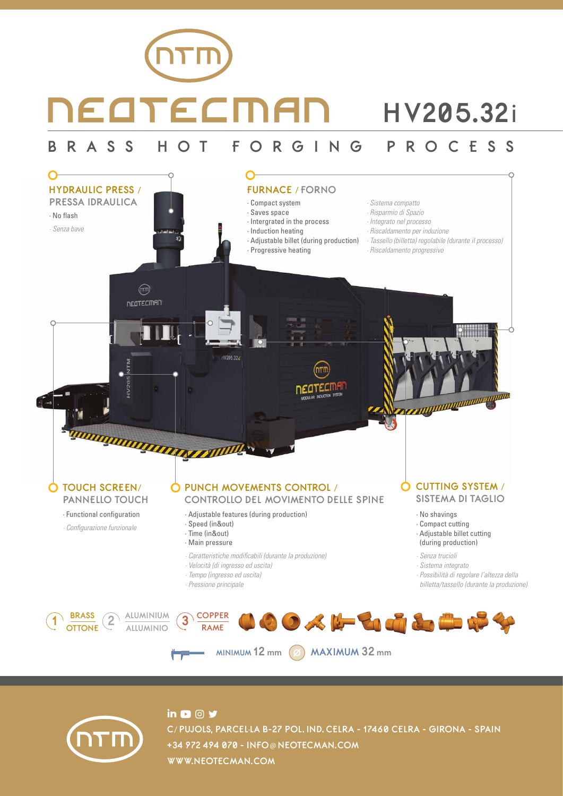# NEATECMAI **HV205.32**i **BRASS HOT FORGING PROCESS**





## $\overline{\mathbf{a}}$   $\overline{\mathbf{a}}$   $\overline{\mathbf{a}}$   $\overline{\mathbf{y}}$ **C**/ **PUJOLS, PARCEL**·**LA B-27 POL. IND. CELRA - 17460 CELRA - GIRONA - SPAIN +34 972 494 070 - INFO**@ **NEOTECMAN.COM WWW.NEOTECMAN.COM**